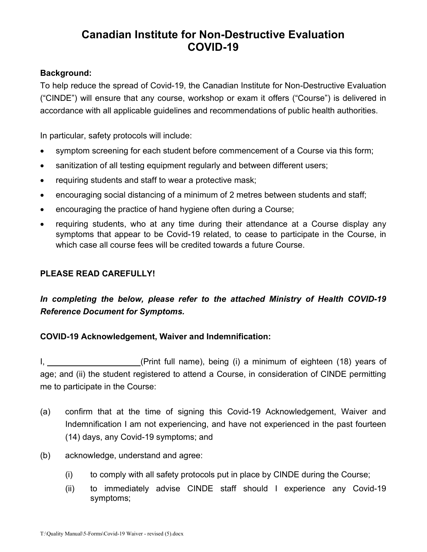# Canadian Institute for Non-Destructive Evaluation COVID-19

### Background:

To help reduce the spread of Covid-19, the Canadian Institute for Non-Destructive Evaluation ("CINDE") will ensure that any course, workshop or exam it offers ("Course") is delivered in accordance with all applicable guidelines and recommendations of public health authorities.

In particular, safety protocols will include:

- symptom screening for each student before commencement of a Course via this form;
- sanitization of all testing equipment regularly and between different users;
- requiring students and staff to wear a protective mask;
- encouraging social distancing of a minimum of 2 metres between students and staff;
- encouraging the practice of hand hygiene often during a Course;
- requiring students, who at any time during their attendance at a Course display any symptoms that appear to be Covid-19 related, to cease to participate in the Course, in which case all course fees will be credited towards a future Course.

#### PLEASE READ CAREFULLY!

## In completing the below, please refer to the attached Ministry of Health COVID-19 Reference Document for Symptoms.

### COVID-19 Acknowledgement, Waiver and Indemnification:

I, the same of the CP (Print full name), being (i) a minimum of eighteen (18) years of age; and (ii) the student registered to attend a Course, in consideration of CINDE permitting me to participate in the Course:

- (a) confirm that at the time of signing this Covid-19 Acknowledgement, Waiver and Indemnification I am not experiencing, and have not experienced in the past fourteen (14) days, any Covid-19 symptoms; and
- (b) acknowledge, understand and agree:
	- (i) to comply with all safety protocols put in place by CINDE during the Course;
	- (ii) to immediately advise CINDE staff should I experience any Covid-19 symptoms;